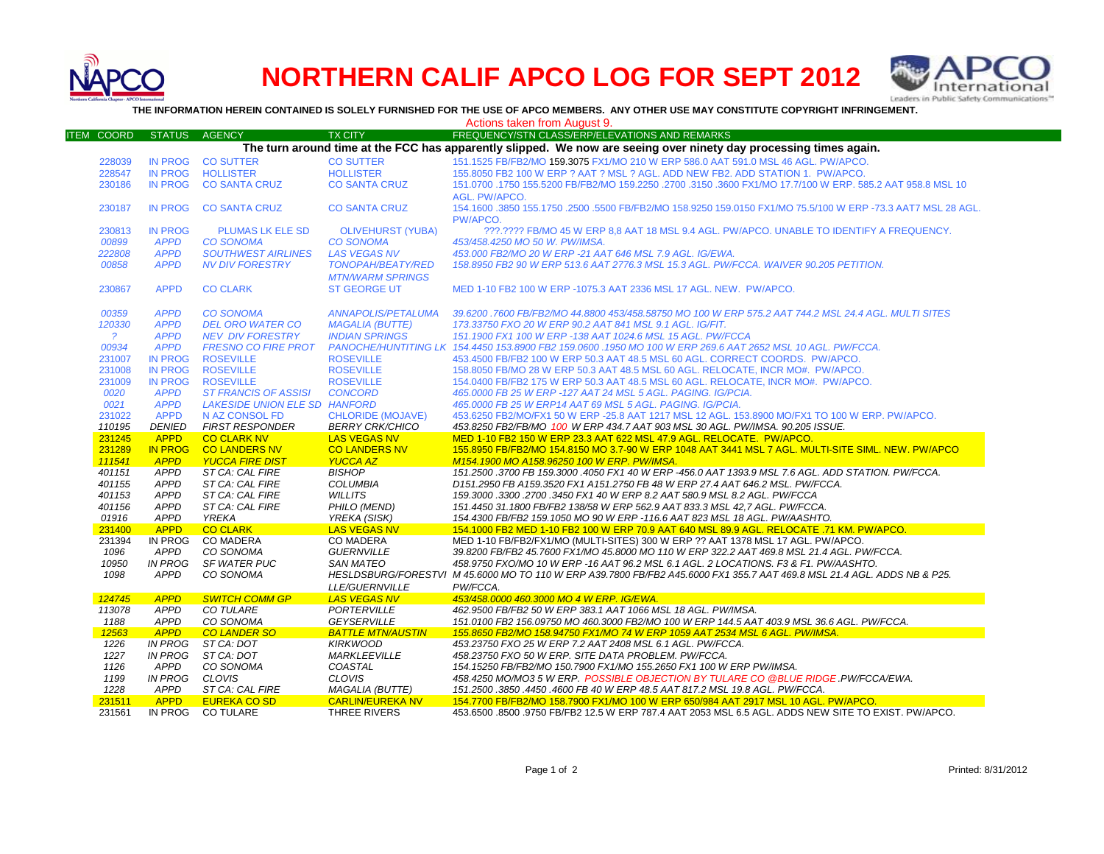

## **NORTHERN CALIF APCO LOG FOR SEPT 2012**



**THE INFORMATION HEREIN CONTAINED IS SOLELY FURNISHED FOR THE USE OF APCO MEMBERS. ANY OTHER USE MAY CONSTITUTE COPYRIGHT INFRINGEMENT.**

Actions taken from August 9.

| <b>ITEM COORD</b>                                                                                                 | <b>STATUS</b>              | <b>AGENCY</b>                                | <b>TX CITY</b>                                | FREQUENCY/STN CLASS/ERP/ELEVATIONS AND REMARKS                                                                                                        |  |  |  |  |  |  |
|-------------------------------------------------------------------------------------------------------------------|----------------------------|----------------------------------------------|-----------------------------------------------|-------------------------------------------------------------------------------------------------------------------------------------------------------|--|--|--|--|--|--|
| The turn around time at the FCC has apparently slipped. We now are seeing over ninety day processing times again. |                            |                                              |                                               |                                                                                                                                                       |  |  |  |  |  |  |
| 228039                                                                                                            | <b>IN PROG</b>             | <b>CO SUTTER</b>                             | <b>CO SUTTER</b>                              | 151.1525 FB/FB2/MO 159.3075 FX1/MO 210 W ERP 586.0 AAT 591.0 MSL 46 AGL, PW/APCO.                                                                     |  |  |  |  |  |  |
| 228547                                                                                                            | <b>IN PROG</b>             | <b>HOLLISTER</b>                             | <b>HOLLISTER</b>                              | 155.8050 FB2 100 W ERP ? AAT ? MSL ? AGL. ADD NEW FB2. ADD STATION 1. PW/APCO.                                                                        |  |  |  |  |  |  |
| 230186                                                                                                            | <b>IN PROG</b>             | <b>CO SANTA CRUZ</b>                         | <b>CO SANTA CRUZ</b>                          | 151.0700 .1750 155.5200 FB/FB2/MO 159.2250 .2700 .3150 .3600 FX1/MO 17.7/100 W ERP, 585.2 AAT 958.8 MSL 10                                            |  |  |  |  |  |  |
|                                                                                                                   |                            |                                              |                                               | AGL. PW/APCO.                                                                                                                                         |  |  |  |  |  |  |
| 230187                                                                                                            | <b>IN PROG</b>             | <b>CO SANTA CRUZ</b>                         | <b>CO SANTA CRUZ</b>                          | 154,1600,3850 155,1750,2500,5500 FB/FB2/MO 158,9250 159,0150 FX1/MO 75,5/100 W ERP -73.3 AAT7 MSL 28 AGL.                                             |  |  |  |  |  |  |
|                                                                                                                   |                            |                                              |                                               | PW/APCO.                                                                                                                                              |  |  |  |  |  |  |
| 230813                                                                                                            | <b>IN PROG</b>             | <b>PLUMAS LK ELE SD</b>                      | <b>OLIVEHURST (YUBA)</b>                      | ???.???? FB/MO 45 W ERP 8.8 AAT 18 MSL 9.4 AGL. PW/APCO. UNABLE TO IDENTIFY A FREQUENCY.                                                              |  |  |  |  |  |  |
| 00899                                                                                                             | <b>APPD</b>                | <b>CO SONOMA</b>                             | <b>CO SONOMA</b>                              | 453/458.4250 MO 50 W. PW/IMSA.                                                                                                                        |  |  |  |  |  |  |
| 222808                                                                                                            | <b>APPD</b>                | <b>SOUTHWEST AIRLINES</b>                    | <b>LAS VEGAS NV</b>                           | 453.000 FB2/MO 20 W ERP -21 AAT 646 MSL 7.9 AGL. IG/EWA.                                                                                              |  |  |  |  |  |  |
| 00858                                                                                                             | <b>APPD</b>                | <b>NV DIV FORESTRY</b>                       | <b>TONOPAH/BEATY/RED</b>                      | 158.8950 FB2 90 W ERP 513.6 AAT 2776.3 MSL 15.3 AGL, PW/FCCA, WAIVER 90.205 PETITION.                                                                 |  |  |  |  |  |  |
|                                                                                                                   |                            |                                              | <b>MTN/WARM SPRINGS</b>                       |                                                                                                                                                       |  |  |  |  |  |  |
| 230867                                                                                                            | <b>APPD</b>                | <b>CO CLARK</b>                              | <b>ST GEORGE UT</b>                           | MED 1-10 FB2 100 W ERP -1075.3 AAT 2336 MSL 17 AGL, NEW. PW/APCO.                                                                                     |  |  |  |  |  |  |
|                                                                                                                   |                            |                                              |                                               |                                                                                                                                                       |  |  |  |  |  |  |
| 00359                                                                                                             | <b>APPD</b>                | <b>CO SONOMA</b>                             | <b>ANNAPOLIS/PETALUMA</b>                     | 39.6200 .7600 FB/FB2/MO 44.8800 453/458.58750 MO 100 W ERP 575.2 AAT 744.2 MSL 24.4 AGL. MULTI SITES                                                  |  |  |  |  |  |  |
| 120330                                                                                                            | <b>APPD</b>                | <b>DEL ORO WATER CO</b>                      | <b>MAGALIA (BUTTE)</b>                        | 173.33750 FXO 20 W ERP 90.2 AAT 841 MSL 9.1 AGL. IG/FIT.                                                                                              |  |  |  |  |  |  |
| $\overline{?}$                                                                                                    | <b>APPD</b>                | <b>NEV DIV FORESTRY</b>                      | <b>INDIAN SPRINGS</b>                         | 151.1900 FX1 100 W ERP -138 AAT 1024.6 MSL 15 AGL. PW/FCCA                                                                                            |  |  |  |  |  |  |
| 00934                                                                                                             | <b>APPD</b>                | <b>FRESNO CO FIRE PROT</b>                   |                                               | PANOCHE/HUNTITING LK 154.4450 153.8900 FB2 159.0600 .1950 MO 100 W ERP 269.6 AAT 2652 MSL 10 AGL. PW/FCCA.                                            |  |  |  |  |  |  |
| 231007                                                                                                            | <b>IN PROG</b>             | <b>ROSEVILLE</b>                             | <b>ROSEVILLE</b>                              | 453.4500 FB/FB2 100 W ERP 50.3 AAT 48.5 MSL 60 AGL. CORRECT COORDS. PW/APCO.                                                                          |  |  |  |  |  |  |
| 231008                                                                                                            | <b>IN PROG</b>             | <b>ROSEVILLE</b>                             | <b>ROSEVILLE</b>                              | 158.8050 FB/MO 28 W ERP 50.3 AAT 48.5 MSL 60 AGL. RELOCATE, INCR MO#. PW/APCO.                                                                        |  |  |  |  |  |  |
| 231009                                                                                                            | <b>IN PROG</b>             | <b>ROSEVILLE</b>                             | <b>ROSEVILLE</b>                              | 154.0400 FB/FB2 175 W ERP 50.3 AAT 48.5 MSL 60 AGL. RELOCATE, INCR MO#. PW/APCO.                                                                      |  |  |  |  |  |  |
| 0020                                                                                                              | <b>APPD</b>                | <b>ST FRANCIS OF ASSISI</b>                  | <b>CONCORD</b>                                | 465,0000 FB 25 W ERP - 127 AAT 24 MSL 5 AGL. PAGING. IG/PCIA.                                                                                         |  |  |  |  |  |  |
| 0021                                                                                                              | <b>APPD</b>                | <b>LAKESIDE UNION ELE SD HANFORD</b>         |                                               | 465,0000 FB 25 W ERP14 AAT 69 MSL 5 AGL, PAGING, IG/PCIA.                                                                                             |  |  |  |  |  |  |
|                                                                                                                   | <b>APPD</b>                |                                              |                                               |                                                                                                                                                       |  |  |  |  |  |  |
| 231022                                                                                                            |                            | N AZ CONSOL FD                               | <b>CHLORIDE (MOJAVE)</b>                      | 453.6250 FB2/MO/FX1 50 W ERP -25.8 AAT 1217 MSL 12 AGL. 153.8900 MO/FX1 TO 100 W ERP. PW/APCO.                                                        |  |  |  |  |  |  |
| 110195<br>231245                                                                                                  | DENIED<br><b>APPD</b>      | <b>FIRST RESPONDER</b><br><b>CO CLARK NV</b> | <b>BERRY CRK/CHICO</b><br><b>LAS VEGAS NV</b> | 453.8250 FB2/FB/MO 100 W ERP 434.7 AAT 903 MSL 30 AGL. PW/IMSA. 90.205 ISSUE.<br>MED 1-10 FB2 150 W ERP 23.3 AAT 622 MSL 47.9 AGL. RELOCATE. PW/APCO. |  |  |  |  |  |  |
| 231289                                                                                                            | <b>IN PROG</b>             | <b>CO LANDERS NV</b>                         | <b>CO LANDERS NV</b>                          | 155.8950 FB/FB2/MO 154.8150 MO 3.7-90 W ERP 1048 AAT 3441 MSL 7 AGL. MULTI-SITE SIML. NEW. PW/APCO                                                    |  |  |  |  |  |  |
| 111541                                                                                                            | <b>APPD</b>                | <b>YUCCA FIRE DIST</b>                       | <b>YUCCA AZ</b>                               | M154.1900 MO A158.96250 100 W ERP. PW/IMSA.                                                                                                           |  |  |  |  |  |  |
| 401151                                                                                                            | <b>APPD</b>                | ST CA: CAL FIRE                              | <b>BISHOP</b>                                 | 151.2500 .3700 FB 159.3000 .4050 FX1 40 W ERP -456.0 AAT 1393.9 MSL 7.6 AGL. ADD STATION. PW/FCCA.                                                    |  |  |  |  |  |  |
| 401155                                                                                                            | <b>APPD</b>                | ST CA: CAL FIRE                              | <b>COLUMBIA</b>                               | D151.2950 FB A159.3520 FX1 A151.2750 FB 48 W ERP 27.4 AAT 646.2 MSL. PW/FCCA.                                                                         |  |  |  |  |  |  |
| 401153                                                                                                            | <b>APPD</b>                | ST CA: CAL FIRE                              | <b>WILLITS</b>                                | 159.3000 .3300 .2700 .3450 FX1 40 W ERP 8.2 AAT 580.9 MSL 8.2 AGL. PW/FCCA                                                                            |  |  |  |  |  |  |
|                                                                                                                   |                            |                                              |                                               |                                                                                                                                                       |  |  |  |  |  |  |
| 401156                                                                                                            | <b>APPD</b><br><b>APPD</b> | ST CA: CAL FIRE                              | PHILO (MEND)                                  | 151.4450 31.1800 FB/FB2 138/58 W ERP 562.9 AAT 833.3 MSL 42.7 AGL. PW/FCCA.                                                                           |  |  |  |  |  |  |
| 01916                                                                                                             |                            | YREKA                                        | YREKA (SISK)                                  | 154.4300 FB/FB2 159.1050 MO 90 W ERP -116.6 AAT 823 MSL 18 AGL. PW/AASHTO.                                                                            |  |  |  |  |  |  |
| 231400                                                                                                            | <b>APPD</b>                | <b>CO CLARK</b>                              | LAS VEGAS NV                                  | 154.1000 FB2 MED 1-10 FB2 100 W ERP 70.9 AAT 640 MSL 89.9 AGL. RELOCATE .71 KM. PW/APCO.                                                              |  |  |  |  |  |  |
| 231394                                                                                                            | IN PROG                    | <b>CO MADERA</b>                             | <b>CO MADERA</b>                              | MED 1-10 FB/FB2/FX1/MO (MULTI-SITES) 300 W ERP ?? AAT 1378 MSL 17 AGL. PW/APCO.                                                                       |  |  |  |  |  |  |
| 1096                                                                                                              | <b>APPD</b>                | CO SONOMA                                    | <b>GUERNVILLE</b>                             | 39.8200 FB/FB2 45.7600 FX1/MO 45.8000 MO 110 W ERP 322.2 AAT 469.8 MSL 21.4 AGL. PW/FCCA.                                                             |  |  |  |  |  |  |
| 10950                                                                                                             | <b>IN PROG</b>             | <b>SF WATER PUC</b>                          | SAN MATEO                                     | 458.9750 FXO/MO 10 W ERP -16 AAT 96.2 MSL 6.1 AGL. 2 LOCATIONS. F3 & F1. PW/AASHTO.                                                                   |  |  |  |  |  |  |
| 1098                                                                                                              | <b>APPD</b>                | CO SONOMA                                    |                                               | HESLDSBURG/FORESTVI M 45.6000 MO TO 110 W ERP A39.7800 FB/FB2 A45.6000 FX1 355.7 AAT 469.8 MSL 21.4 AGL. ADDS NB & P25.                               |  |  |  |  |  |  |
|                                                                                                                   |                            |                                              | LLE/GUERNVILLE                                | PW/FCCA.                                                                                                                                              |  |  |  |  |  |  |
| 124745                                                                                                            | <b>APPD</b>                | <b>SWITCH COMM GP</b>                        | <b>LAS VEGAS NV</b>                           | 453/458.0000 460.3000 MO 4 W ERP. IG/EWA.                                                                                                             |  |  |  |  |  |  |
| 113078                                                                                                            | <b>APPD</b>                | <b>CO TULARE</b>                             | <b>PORTERVILLE</b>                            | 462.9500 FB/FB2 50 W ERP 383.1 AAT 1066 MSL 18 AGL. PW/IMSA.                                                                                          |  |  |  |  |  |  |
| 1188                                                                                                              | <b>APPD</b>                | CO SONOMA                                    | <b>GEYSERVILLE</b>                            | 151.0100 FB2 156.09750 MO 460.3000 FB2/MO 100 W ERP 144.5 AAT 403.9 MSL 36.6 AGL. PW/FCCA.                                                            |  |  |  |  |  |  |
| 12563                                                                                                             | <b>APPD</b>                | <b>CO LANDER SO</b>                          | <b>BATTLE MTN/AUSTIN</b>                      | 155.8650 FB2/MO 158.94750 FX1/MO 74 W ERP 1059 AAT 2534 MSL 6 AGL, PW/IMSA.                                                                           |  |  |  |  |  |  |
| 1226                                                                                                              | <b>IN PROG</b>             | ST CA: DOT                                   | <b>KIRKWOOD</b>                               | 453.23750 FXO 25 W ERP 7.2 AAT 2408 MSL 6.1 AGL. PW/FCCA.                                                                                             |  |  |  |  |  |  |
| 1227                                                                                                              | <b>IN PROG</b>             | ST CA: DOT                                   | <b>MARKLEEVILLE</b>                           | 458.23750 FXO 50 W ERP. SITE DATA PROBLEM. PW/FCCA.                                                                                                   |  |  |  |  |  |  |
| 1126                                                                                                              | APPD                       | CO SONOMA                                    | COASTAL                                       | 154.15250 FB/FB2/MO 150.7900 FX1/MO 155.2650 FX1 100 W ERP PW/IMSA.                                                                                   |  |  |  |  |  |  |
| 1199                                                                                                              | <b>IN PROG</b>             | CLOVIS                                       | <b>CLOVIS</b>                                 | 458.4250 MO/MO3 5 W ERP. POSSIBLE OBJECTION BY TULARE CO @BLUE RIDGE .PW/FCCA/EWA.                                                                    |  |  |  |  |  |  |
| 1228                                                                                                              | APPD                       | ST CA: CAL FIRE                              | <b>MAGALIA (BUTTE)</b>                        | 151.2500.3850.4450.4600 FB 40 W ERP 48.5 AAT 817.2 MSL 19.8 AGL. PW/FCCA.                                                                             |  |  |  |  |  |  |
| 231511                                                                                                            | <b>APPD</b>                | <b>EUREKA CO SD</b>                          | <b>CARLIN/EUREKA NV</b>                       | 154.7700 FB/FB2/MO 158.7900 FX1/MO 100 W ERP 650/984 AAT 2917 MSL 10 AGL. PW/APCO.                                                                    |  |  |  |  |  |  |
| 231561                                                                                                            | IN PROG                    | <b>CO TULARE</b>                             | THREE RIVERS                                  | 453.6500 .8500 .9750 FB/FB2 12.5 W ERP 787.4 AAT 2053 MSL 6.5 AGL. ADDS NEW SITE TO EXIST. PW/APCO.                                                   |  |  |  |  |  |  |